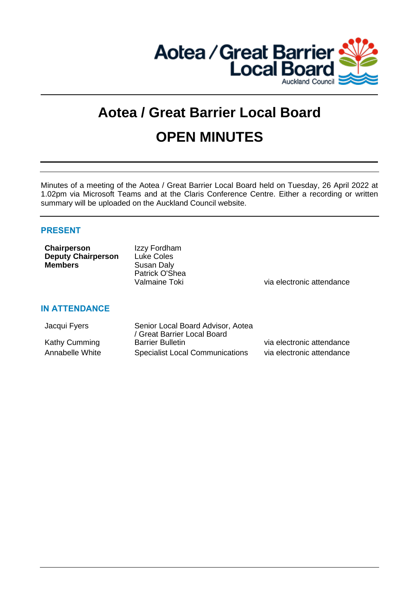

# **Aotea / Great Barrier Local Board OPEN MINUTES**

Minutes of a meeting of the Aotea / Great Barrier Local Board held on Tuesday, 26 April 2022 at 1.02pm via Microsoft Teams and at the Claris Conference Centre. Either a recording or written summary will be uploaded on the Auckland Council website.

# **PRESENT**

**IN ATTENDANCE**

| Chairperson               | Izzy Fordham      |
|---------------------------|-------------------|
| <b>Deputy Chairperson</b> | <b>Luke Coles</b> |
| <b>Members</b>            | Susan Daly        |
|                           | Patrick O'Shea    |
|                           |                   |

Valmaine Toki via electronic attendance

# Jacqui Fyers Senior Local Board Advisor, Aotea / Great Barrier Local Board Kathy Cumming Barrier Bulletin View Communication of the Statendance Annabelle White Specialist Local Communications via electronic attendance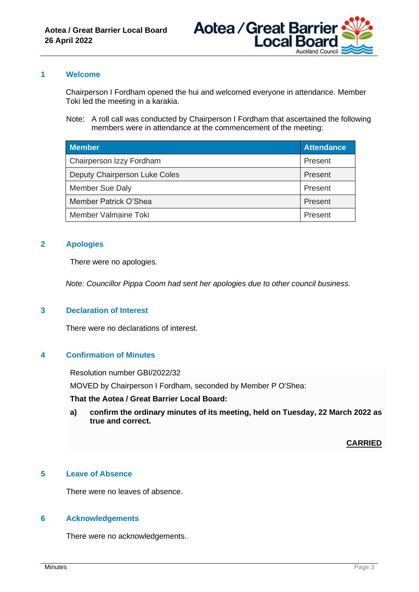

#### **1 Welcome**

Chairperson I Fordham opened the hui and welcomed everyone in attendance. Member Toki led the meeting in a karakia.

Note: A roll call was conducted by Chairperson I Fordham that ascertained the following members were in attendance at the commencement of the meeting:

| <b>Member</b>                 | <b>Attendance</b> |
|-------------------------------|-------------------|
| Chairperson Izzy Fordham      | Present           |
| Deputy Chairperson Luke Coles | Present           |
| Member Sue Daly               | Present           |
| Member Patrick O'Shea         | Present           |
| Member Valmaine Toki          | Present           |

# **2 Apologies**

There were no apologies.

*Note: Councillor Pippa Coom had sent her apologies due to other council business.*

#### **3 Declaration of Interest**

There were no declarations of interest.

#### **4 Confirmation of Minutes**

Resolution number GBI/2022/32

MOVED by Chairperson I Fordham, seconded by Member P O'Shea:

#### **That the Aotea / Great Barrier Local Board:**

**a) confirm the ordinary minutes of its meeting, held on Tuesday, 22 March 2022 as true and correct.**

**CARRIED**

# **5 Leave of Absence**

There were no leaves of absence.

#### **6 Acknowledgements**

There were no acknowledgements.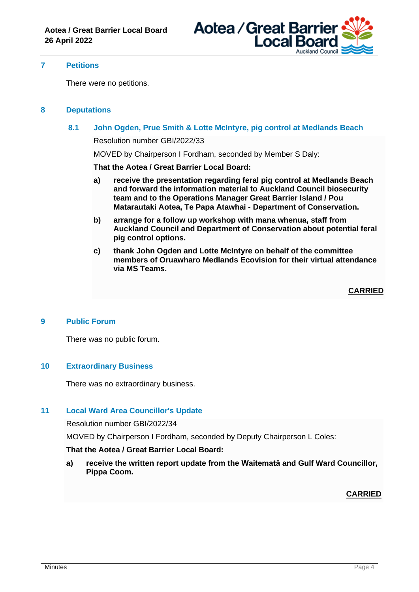

#### **7 Petitions**

There were no petitions.

#### **8 Deputations**

**8.1 John Ogden, Prue Smith & Lotte McIntyre, pig control at Medlands Beach**

Resolution number GBI/2022/33

MOVED by Chairperson I Fordham, seconded by Member S Daly:

**That the Aotea / Great Barrier Local Board:**

- **a) receive the presentation regarding feral pig control at Medlands Beach and forward the information material to Auckland Council biosecurity team and to the Operations Manager Great Barrier Island / Pou Matarautaki Aotea, Te Papa Atawhai - Department of Conservation.**
- **b) arrange for a follow up workshop with mana whenua, staff from Auckland Council and Department of Conservation about potential feral pig control options.**
- **c) thank John Ogden and Lotte McIntyre on behalf of the committee members of Oruawharo Medlands Ecovision for their virtual attendance via MS Teams.**

**CARRIED**

#### **9 Public Forum**

There was no public forum.

#### **10 Extraordinary Business**

There was no extraordinary business.

#### **11 Local Ward Area Councillor's Update**

Resolution number GBI/2022/34

MOVED by Chairperson I Fordham, seconded by Deputy Chairperson L Coles:

#### **That the Aotea / Great Barrier Local Board:**

**a) receive the written report update from the Waitematā and Gulf Ward Councillor, Pippa Coom.**

#### **CARRIED**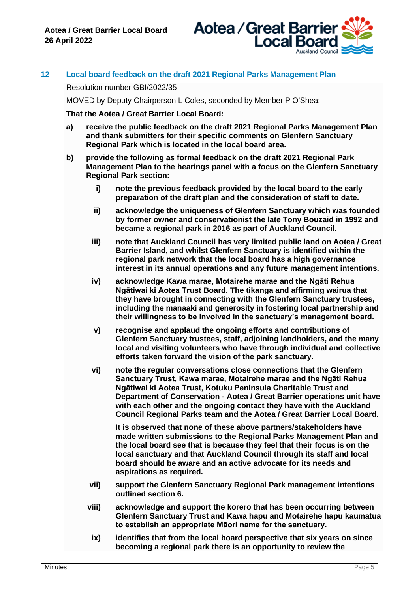

# **12 Local board feedback on the draft 2021 Regional Parks Management Plan**

Resolution number GBI/2022/35

MOVED by Deputy Chairperson L Coles, seconded by Member P O'Shea:

**That the Aotea / Great Barrier Local Board:**

- **a) receive the public feedback on the draft 2021 Regional Parks Management Plan and thank submitters for their specific comments on Glenfern Sanctuary Regional Park which is located in the local board area.**
- **b) provide the following as formal feedback on the draft 2021 Regional Park Management Plan to the hearings panel with a focus on the Glenfern Sanctuary Regional Park section:**
	- **i) note the previous feedback provided by the local board to the early preparation of the draft plan and the consideration of staff to date.**
	- **ii) acknowledge the uniqueness of Glenfern Sanctuary which was founded by former owner and conservationist the late Tony Bouzaid in 1992 and became a regional park in 2016 as part of Auckland Council.**
	- **iii) note that Auckland Council has very limited public land on Aotea / Great Barrier Island, and whilst Glenfern Sanctuary is identified within the regional park network that the local board has a high governance interest in its annual operations and any future management intentions.**
	- **iv) acknowledge Kawa marae, Motairehe marae and the Ngāti Rehua Ngātiwai ki Aotea Trust Board. The tikanga and affirming wairua that they have brought in connecting with the Glenfern Sanctuary trustees, including the manaaki and generosity in fostering local partnership and their willingness to be involved in the sanctuary's management board.**
	- **v) recognise and applaud the ongoing efforts and contributions of Glenfern Sanctuary trustees, staff, adjoining landholders, and the many local and visiting volunteers who have through individual and collective efforts taken forward the vision of the park sanctuary.**
	- **vi) note the regular conversations close connections that the Glenfern Sanctuary Trust, Kawa marae, Motairehe marae and the Ngāti Rehua Ngātiwai ki Aotea Trust, Kotuku Peninsula Charitable Trust and Department of Conservation - Aotea / Great Barrier operations unit have with each other and the ongoing contact they have with the Auckland Council Regional Parks team and the Aotea / Great Barrier Local Board.**

**It is observed that none of these above partners/stakeholders have made written submissions to the Regional Parks Management Plan and the local board see that is because they feel that their focus is on the local sanctuary and that Auckland Council through its staff and local board should be aware and an active advocate for its needs and aspirations as required.** 

- **vii) support the Glenfern Sanctuary Regional Park management intentions outlined section 6.**
- **viii) acknowledge and support the korero that has been occurring between Glenfern Sanctuary Trust and Kawa hapu and Motairehe hapu kaumatua to establish an appropriate Māori name for the sanctuary.**
- **ix) identifies that from the local board perspective that six years on since becoming a regional park there is an opportunity to review the**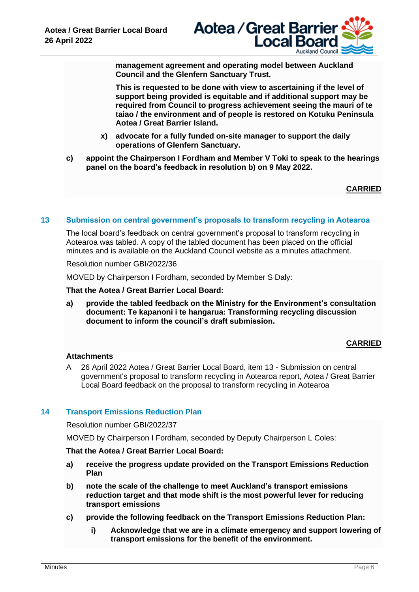

**management agreement and operating model between Auckland Council and the Glenfern Sanctuary Trust.** 

**This is requested to be done with view to ascertaining if the level of support being provided is equitable and if additional support may be required from Council to progress achievement seeing the mauri of te taiao / the environment and of people is restored on Kotuku Peninsula Aotea / Great Barrier Island.**

- **x) advocate for a fully funded on-site manager to support the daily operations of Glenfern Sanctuary.**
- **c) appoint the Chairperson I Fordham and Member V Toki to speak to the hearings panel on the board's feedback in resolution b) on 9 May 2022.**

# **CARRIED**

#### **13 Submission on central government's proposals to transform recycling in Aotearoa**

The local board's feedback on central government's proposal to transform recycling in Aotearoa was tabled. A copy of the tabled document has been placed on the official minutes and is available on the Auckland Council website as a minutes attachment.

Resolution number GBI/2022/36

MOVED by Chairperson I Fordham, seconded by Member S Daly:

**That the Aotea / Great Barrier Local Board:**

**a) provide the tabled feedback on the Ministry for the Environment's consultation document: Te kapanoni i te hangarua: Transforming recycling discussion document to inform the council's draft submission.**

#### **CARRIED**

#### **Attachments**

A 26 April 2022 Aotea / Great Barrier Local Board, item 13 - Submission on central government's proposal to transform recycling in Aotearoa report, Aotea / Great Barrier Local Board feedback on the proposal to transform recycling in Aotearoa

#### **14 Transport Emissions Reduction Plan**

Resolution number GBI/2022/37

MOVED by Chairperson I Fordham, seconded by Deputy Chairperson L Coles:

#### **That the Aotea / Great Barrier Local Board:**

- **a) receive the progress update provided on the Transport Emissions Reduction Plan**
- **b) note the scale of the challenge to meet Auckland's transport emissions reduction target and that mode shift is the most powerful lever for reducing transport emissions**
- **c) provide the following feedback on the Transport Emissions Reduction Plan:**
	- **i) Acknowledge that we are in a climate emergency and support lowering of transport emissions for the benefit of the environment.**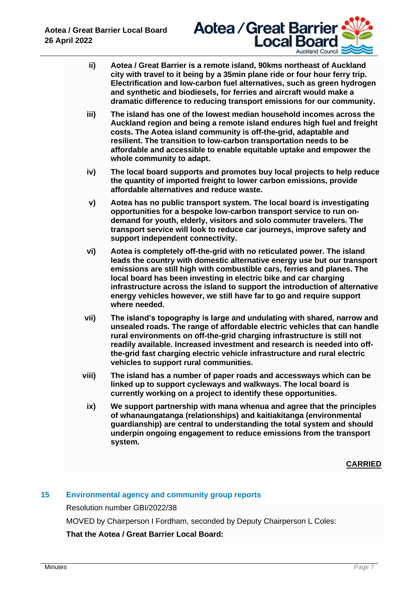

- **ii) Aotea / Great Barrier is a remote island, 90kms northeast of Auckland city with travel to it being by a 35min plane ride or four hour ferry trip. Electrification and low-carbon fuel alternatives, such as green hydrogen and synthetic and biodiesels, for ferries and aircraft would make a dramatic difference to reducing transport emissions for our community.**
- **iii) The island has one of the lowest median household incomes across the Auckland region and being a remote island endures high fuel and freight costs. The Aotea island community is off-the-grid, adaptable and resilient. The transition to low-carbon transportation needs to be affordable and accessible to enable equitable uptake and empower the whole community to adapt.**
- **iv) The local board supports and promotes buy local projects to help reduce the quantity of imported freight to lower carbon emissions, provide affordable alternatives and reduce waste.**
- **v) Aotea has no public transport system. The local board is investigating opportunities for a bespoke low-carbon transport service to run ondemand for youth, elderly, visitors and solo commuter travelers. The transport service will look to reduce car journeys, improve safety and support independent connectivity.**
- **vi) Aotea is completely off-the-grid with no reticulated power. The island leads the country with domestic alternative energy use but our transport emissions are still high with combustible cars, ferries and planes. The local board has been investing in electric bike and car charging infrastructure across the island to support the introduction of alternative energy vehicles however, we still have far to go and require support where needed.**
- **vii) The island's topography is large and undulating with shared, narrow and unsealed roads. The range of affordable electric vehicles that can handle rural environments on off-the-grid charging infrastructure is still not readily available. Increased investment and research is needed into offthe-grid fast charging electric vehicle infrastructure and rural electric vehicles to support rural communities.**
- **viii) The island has a number of paper roads and accessways which can be linked up to support cycleways and walkways. The local board is currently working on a project to identify these opportunities.**
	- **ix) We support partnership with mana whenua and agree that the principles of whanaungatanga (relationships) and kaitiakitanga (environmental guardianship) are central to understanding the total system and should underpin ongoing engagement to reduce emissions from the transport system.**

**CARRIED**

# **15 Environmental agency and community group reports**

Resolution number GBI/2022/38

MOVED by Chairperson I Fordham, seconded by Deputy Chairperson L Coles:

**That the Aotea / Great Barrier Local Board:**